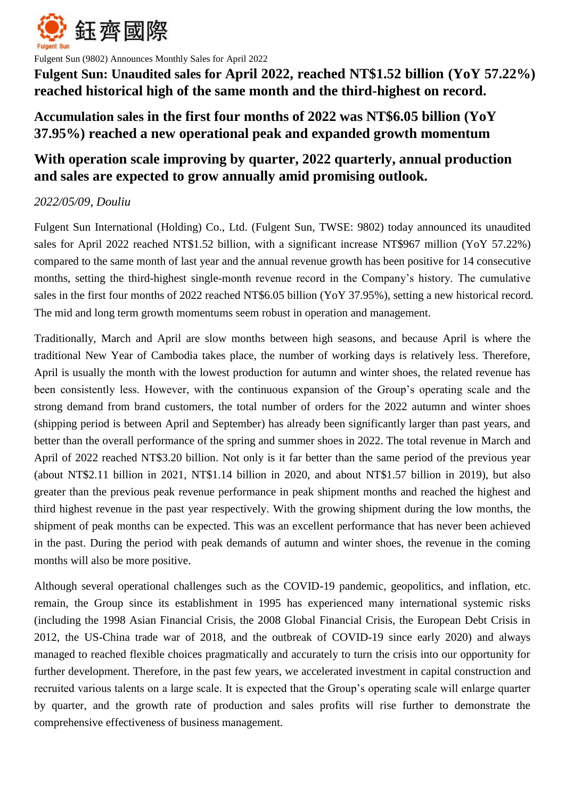

Fulgent Sun (9802) Announces Monthly Sales for April 2022

**Fulgent Sun: Unaudited sales for April 2022, reached NT\$1.52 billion (YoY 57.22%) reached historical high of the same month and the third-highest on record.** 

## **Accumulation sales in the first four months of 2022 was NT\$6.05 billion (YoY 37.95%) reached a new operational peak and expanded growth momentum**

# **With operation scale improving by quarter, 2022 quarterly, annual production and sales are expected to grow annually amid promising outlook.**

## *2022/05/09, Douliu*

Fulgent Sun International (Holding) Co., Ltd. (Fulgent Sun, TWSE: 9802) today announced its unaudited sales for April 2022 reached NT\$1.52 billion, with a significant increase NT\$967 million (YoY 57.22%) compared to the same month of last year and the annual revenue growth has been positive for 14 consecutive months, setting the third-highest single-month revenue record in the Company's history. The cumulative sales in the first four months of 2022 reached NT\$6.05 billion (YoY 37.95%), setting a new historical record. The mid and long term growth momentums seem robust in operation and management.

Traditionally, March and April are slow months between high seasons, and because April is where the traditional New Year of Cambodia takes place, the number of working days is relatively less. Therefore, April is usually the month with the lowest production for autumn and winter shoes, the related revenue has been consistently less. However, with the continuous expansion of the Group's operating scale and the strong demand from brand customers, the total number of orders for the 2022 autumn and winter shoes (shipping period is between April and September) has already been significantly larger than past years, and better than the overall performance of the spring and summer shoes in 2022. The total revenue in March and April of 2022 reached NT\$3.20 billion. Not only is it far better than the same period of the previous year (about NT\$2.11 billion in 2021, NT\$1.14 billion in 2020, and about NT\$1.57 billion in 2019), but also greater than the previous peak revenue performance in peak shipment months and reached the highest and third highest revenue in the past year respectively. With the growing shipment during the low months, the shipment of peak months can be expected. This was an excellent performance that has never been achieved in the past. During the period with peak demands of autumn and winter shoes, the revenue in the coming months will also be more positive.

Although several operational challenges such as the COVID-19 pandemic, geopolitics, and inflation, etc. remain, the Group since its establishment in 1995 has experienced many international systemic risks (including the 1998 Asian Financial Crisis, the 2008 Global Financial Crisis, the European Debt Crisis in 2012, the US-China trade war of 2018, and the outbreak of COVID-19 since early 2020) and always managed to reached flexible choices pragmatically and accurately to turn the crisis into our opportunity for further development. Therefore, in the past few years, we accelerated investment in capital construction and recruited various talents on a large scale. It is expected that the Group's operating scale will enlarge quarter by quarter, and the growth rate of production and sales profits will rise further to demonstrate the comprehensive effectiveness of business management.